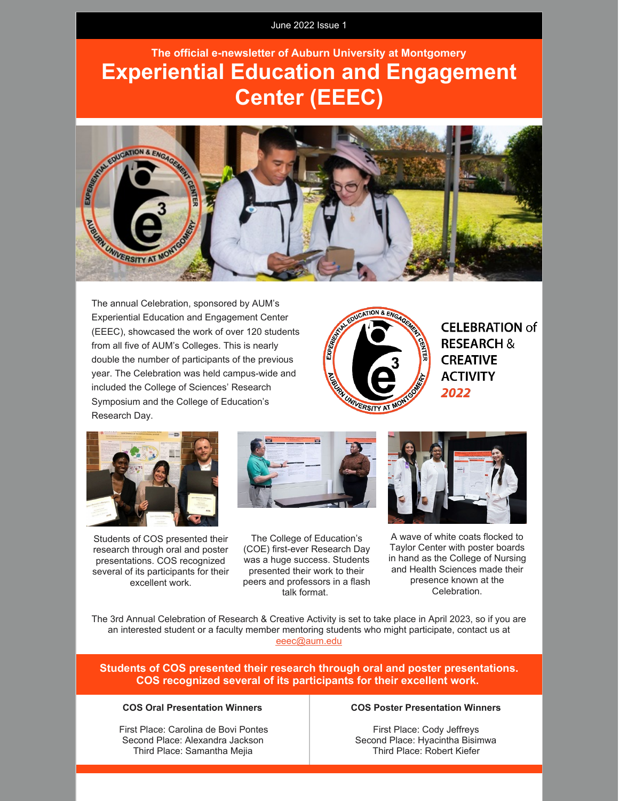June 2022 Issue 1

# **The official e-newsletter of Auburn University at Montgomery Experiential Education and Engagement Center (EEEC)**



The annual Celebration, sponsored by AUM's Experiential Education and Engagement Center (EEEC), showcased the work of over 120 students from all five of AUM's Colleges. This is nearly double the number of participants of the previous year. The Celebration was held campus-wide and included the College of Sciences' Research Symposium and the College of Education's Research Day.



**CELEBRATION of RESEARCH & CREATIVE ACTIVITY** 2022



Students of COS presented their research through oral and poster presentations. COS recognized several of its participants for their excellent work.



The College of Education's (COE) first-ever Research Day was a huge success. Students presented their work to their peers and professors in a flash talk format.



A wave of white coats flocked to Taylor Center with poster boards in hand as the College of Nursing and Health Sciences made their presence known at the Celebration.

The 3rd Annual Celebration of Research & Creative Activity is set to take place in April 2023, so if you are an interested student or a faculty member mentoring students who might participate, contact us at [eeec@aum.edu](mailto:eeec@aum.edu)

### **Students of COS presented their research through oral and poster presentations. COS recognized several of its participants for their excellent work.**

#### **COS Oral Presentation Winners**

First Place: Carolina de Bovi Pontes Second Place: Alexandra Jackson Third Place: Samantha Mejia

#### **COS Poster Presentation Winners**

First Place: Cody Jeffreys Second Place: Hyacintha Bisimwa Third Place: Robert Kiefer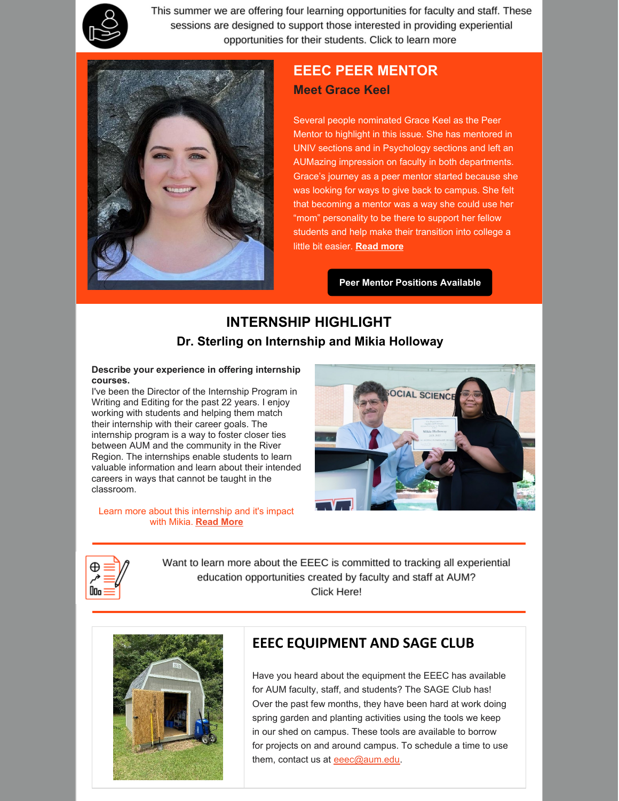

This summer we are offering four learning opportunities for faculty and staff. These sessions are designed to support those interested in providing experiential opportunities for their students. Click to learn more



### **EEEC PEER MENTOR Meet Grace Keel**

Several people nominated Grace Keel as the Peer Mentor to highlight in this issue. She has mentored in UNIV sections and in Psychology sections and left an AUMazing impression on faculty in both departments. Grace's journey as a peer mentor started because she was looking for ways to give back to campus. She felt that becoming a mentor was a way she could use her "mom" personality to be there to support her fellow students and help make their transition into college a little bit easier. **[Read](https://www.aum.edu/peer-mentoring/#peermentorhighlight) more**

**Peer Mentor [Positions](https://www.jobs.aum.edu/postings/5382) Available**

## **INTERNSHIP HIGHLIGHT Dr. Sterling on Internship and Mikia Holloway**

#### **Describe your experience in offering internship courses.**

I've been the Director of the Internship Program in Writing and Editing for the past 22 years. I enjoy working with students and helping them match their internship with their career goals. The internship program is a way to foster closer ties between AUM and the community in the River Region. The internships enable students to learn valuable information and learn about their intended careers in ways that cannot be taught in the classroom.

Learn more about this internship and it's impact with Mikia. **[Read](https://www.aum.edu/academics/academic-support/eeec/student-opportunities/#intership) More**





Want to learn more about the EEEC is committed to tracking all experiential education opportunities created by faculty and staff at AUM? Click Here!



### **EEEC EQUIPMENT AND SAGE CLUB**

Have you heard about the equipment the EEEC has available for AUM faculty, staff, and students? The SAGE Club has! Over the past few months, they have been hard at work doing spring garden and planting activities using the tools we keep in our shed on campus. These tools are available to borrow for projects on and around campus. To schedule a time to use them, contact us at [eeec@aum.edu.](mailto:eeec@aum.edu)